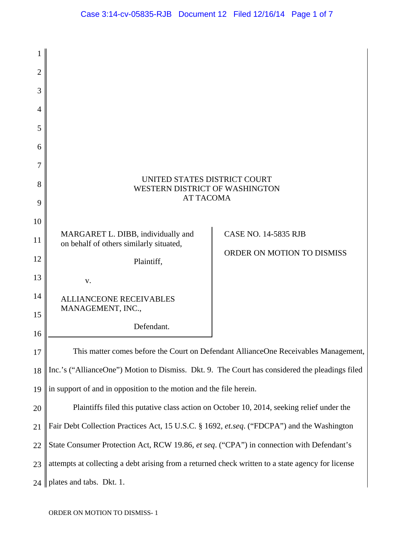| $\overline{2}$ |                                                                                                   |                             |
|----------------|---------------------------------------------------------------------------------------------------|-----------------------------|
| 3              |                                                                                                   |                             |
| 4              |                                                                                                   |                             |
| 5              |                                                                                                   |                             |
| 6              |                                                                                                   |                             |
| 7              |                                                                                                   |                             |
| 8              | UNITED STATES DISTRICT COURT<br>WESTERN DISTRICT OF WASHINGTON                                    |                             |
| 9              | <b>AT TACOMA</b>                                                                                  |                             |
| 10             |                                                                                                   |                             |
| 11             | MARGARET L. DIBB, individually and<br>on behalf of others similarly situated,                     | <b>CASE NO. 14-5835 RJB</b> |
| 12             | Plaintiff,                                                                                        | ORDER ON MOTION TO DISMISS  |
| 13             |                                                                                                   |                             |
|                | V.                                                                                                |                             |
| 14             | <b>ALLIANCEONE RECEIVABLES</b><br>MANAGEMENT, INC.,                                               |                             |
| 15             | Defendant.                                                                                        |                             |
| 16             |                                                                                                   |                             |
| 17             | This matter comes before the Court on Defendant AllianceOne Receivables Management,               |                             |
| 18             | Inc.'s ("AllianceOne") Motion to Dismiss. Dkt. 9. The Court has considered the pleadings filed    |                             |
| 19             | in support of and in opposition to the motion and the file herein.                                |                             |
| 20             | Plaintiffs filed this putative class action on October 10, 2014, seeking relief under the         |                             |
| 21             | Fair Debt Collection Practices Act, 15 U.S.C. § 1692, et.seq. ("FDCPA") and the Washington        |                             |
| 22             | State Consumer Protection Act, RCW 19.86, et seq. ("CPA") in connection with Defendant's          |                             |
| 23             | attempts at collecting a debt arising from a returned check written to a state agency for license |                             |
| 24             | plates and tabs. Dkt. 1.                                                                          |                             |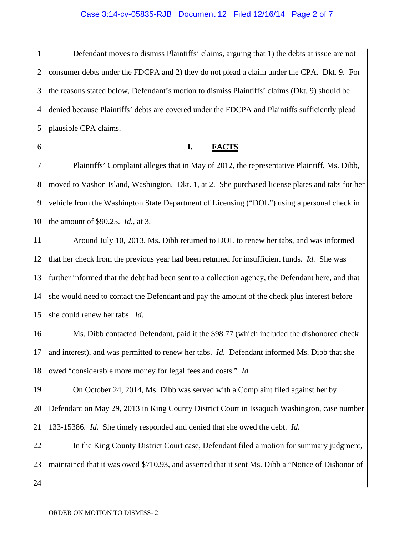#### Case 3:14-cv-05835-RJB Document 12 Filed 12/16/14 Page 2 of 7

1 2 3 4 5 Defendant moves to dismiss Plaintiffs' claims, arguing that 1) the debts at issue are not consumer debts under the FDCPA and 2) they do not plead a claim under the CPA. Dkt. 9. For the reasons stated below, Defendant's motion to dismiss Plaintiffs' claims (Dkt. 9) should be denied because Plaintiffs' debts are covered under the FDCPA and Plaintiffs sufficiently plead plausible CPA claims.

6

### **I. FACTS**

7 8 9 10 Plaintiffs' Complaint alleges that in May of 2012, the representative Plaintiff, Ms. Dibb, moved to Vashon Island, Washington. Dkt. 1, at 2. She purchased license plates and tabs for her vehicle from the Washington State Department of Licensing ("DOL") using a personal check in the amount of \$90.25. *Id.*, at 3.

11 12 13 14 15 Around July 10, 2013, Ms. Dibb returned to DOL to renew her tabs, and was informed that her check from the previous year had been returned for insufficient funds. *Id.* She was further informed that the debt had been sent to a collection agency, the Defendant here, and that she would need to contact the Defendant and pay the amount of the check plus interest before she could renew her tabs. *Id.*

16 17 18 Ms. Dibb contacted Defendant, paid it the \$98.77 (which included the dishonored check and interest), and was permitted to renew her tabs. *Id.* Defendant informed Ms. Dibb that she owed "considerable more money for legal fees and costs." *Id.*

19 20 21 On October 24, 2014, Ms. Dibb was served with a Complaint filed against her by Defendant on May 29, 2013 in King County District Court in Issaquah Washington, case number 133-15386. *Id.* She timely responded and denied that she owed the debt. *Id.*

22 23 24 In the King County District Court case, Defendant filed a motion for summary judgment, maintained that it was owed \$710.93, and asserted that it sent Ms. Dibb a "Notice of Dishonor of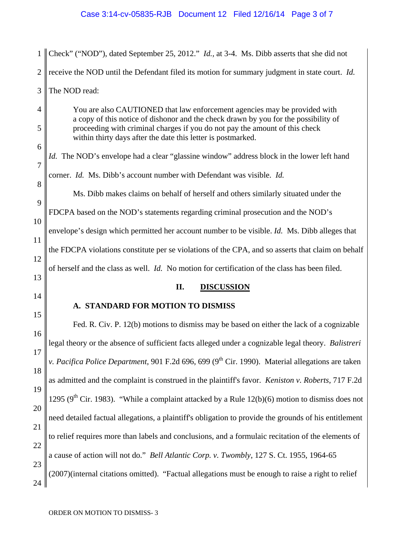| 1              | Check" ("NOD"), dated September 25, 2012." <i>Id.</i> , at 3-4. Ms. Dibb asserts that she did not                                                                                                                                                                                                                                                                                                                                                     |  |
|----------------|-------------------------------------------------------------------------------------------------------------------------------------------------------------------------------------------------------------------------------------------------------------------------------------------------------------------------------------------------------------------------------------------------------------------------------------------------------|--|
| $\overline{2}$ | receive the NOD until the Defendant filed its motion for summary judgment in state court. Id.                                                                                                                                                                                                                                                                                                                                                         |  |
| 3              | The NOD read:                                                                                                                                                                                                                                                                                                                                                                                                                                         |  |
| $\overline{4}$ | You are also CAUTIONED that law enforcement agencies may be provided with<br>a copy of this notice of dishonor and the check drawn by you for the possibility of<br>proceeding with criminal charges if you do not pay the amount of this check<br>within thirty days after the date this letter is postmarked.                                                                                                                                       |  |
| 5<br>6         |                                                                                                                                                                                                                                                                                                                                                                                                                                                       |  |
| $\overline{7}$ | <i>Id.</i> The NOD's envelope had a clear "glassine window" address block in the lower left hand                                                                                                                                                                                                                                                                                                                                                      |  |
| 8              | corner. Id. Ms. Dibb's account number with Defendant was visible. Id.<br>Ms. Dibb makes claims on behalf of herself and others similarly situated under the<br>FDCPA based on the NOD's statements regarding criminal prosecution and the NOD's<br>envelope's design which permitted her account number to be visible. Id. Ms. Dibb alleges that<br>the FDCPA violations constitute per se violations of the CPA, and so asserts that claim on behalf |  |
| 9              |                                                                                                                                                                                                                                                                                                                                                                                                                                                       |  |
| 10             |                                                                                                                                                                                                                                                                                                                                                                                                                                                       |  |
| 11             |                                                                                                                                                                                                                                                                                                                                                                                                                                                       |  |
| 12             |                                                                                                                                                                                                                                                                                                                                                                                                                                                       |  |
| 13             | of herself and the class as well. <i>Id.</i> No motion for certification of the class has been filed.                                                                                                                                                                                                                                                                                                                                                 |  |
| 14             | <b>DISCUSSION</b><br>П.                                                                                                                                                                                                                                                                                                                                                                                                                               |  |
|                | A. STANDARD FOR MOTION TO DISMISS                                                                                                                                                                                                                                                                                                                                                                                                                     |  |
| 15             | Fed. R. Civ. P. 12(b) motions to dismiss may be based on either the lack of a cognizable                                                                                                                                                                                                                                                                                                                                                              |  |
| 16<br>17       | legal theory or the absence of sufficient facts alleged under a cognizable legal theory. Balistreri                                                                                                                                                                                                                                                                                                                                                   |  |
| 18             | v. Pacifica Police Department, 901 F.2d 696, 699 (9 <sup>th</sup> Cir. 1990). Material allegations are taken                                                                                                                                                                                                                                                                                                                                          |  |
| 19             | as admitted and the complaint is construed in the plaintiff's favor. Keniston v. Roberts, 717 F.2d                                                                                                                                                                                                                                                                                                                                                    |  |
| 20             | 1295 (9 <sup>th</sup> Cir. 1983). "While a complaint attacked by a Rule 12(b)(6) motion to dismiss does not                                                                                                                                                                                                                                                                                                                                           |  |
| 21             | need detailed factual allegations, a plaintiff's obligation to provide the grounds of his entitlement                                                                                                                                                                                                                                                                                                                                                 |  |
| 22             | to relief requires more than labels and conclusions, and a formulaic recitation of the elements of                                                                                                                                                                                                                                                                                                                                                    |  |
| 23             | a cause of action will not do." Bell Atlantic Corp. v. Twombly, 127 S. Ct. 1955, 1964-65                                                                                                                                                                                                                                                                                                                                                              |  |
| 24             | (2007)(internal citations omitted). "Factual allegations must be enough to raise a right to relief                                                                                                                                                                                                                                                                                                                                                    |  |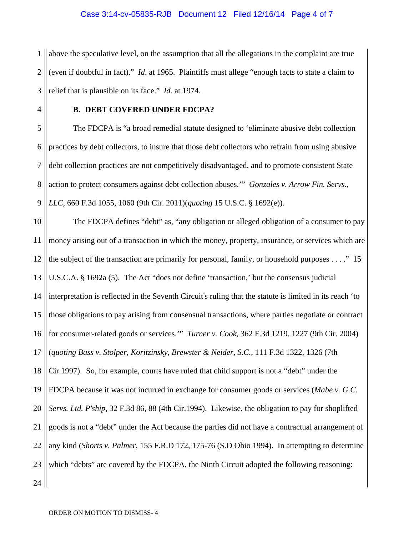### Case 3:14-cv-05835-RJB Document 12 Filed 12/16/14 Page 4 of 7

1  $\mathcal{D}_{\mathcal{L}}$ 3 above the speculative level, on the assumption that all the allegations in the complaint are true (even if doubtful in fact)." *Id*. at 1965. Plaintiffs must allege "enough facts to state a claim to relief that is plausible on its face." *Id*. at 1974.

4

## **B. DEBT COVERED UNDER FDCPA?**

5 6 7 8 9 The FDCPA is "a broad remedial statute designed to 'eliminate abusive debt collection practices by debt collectors, to insure that those debt collectors who refrain from using abusive debt collection practices are not competitively disadvantaged, and to promote consistent State action to protect consumers against debt collection abuses.'" *Gonzales v. Arrow Fin. Servs., LLC*, 660 F.3d 1055, 1060 (9th Cir. 2011)(*quoting* 15 U.S.C. § 1692(e)).

10 11 12 13 14 15 16 17 18 19 20 21 22 23 24 The FDCPA defines "debt" as, "any obligation or alleged obligation of a consumer to pay money arising out of a transaction in which the money, property, insurance, or services which are the subject of the transaction are primarily for personal, family, or household purposes . . . ." 15 U.S.C.A. § 1692a (5). The Act "does not define 'transaction,' but the consensus judicial interpretation is reflected in the Seventh Circuit's ruling that the statute is limited in its reach 'to those obligations to pay arising from consensual transactions, where parties negotiate or contract for consumer-related goods or services.'" *Turner v. Cook*, 362 F.3d 1219, 1227 (9th Cir. 2004) (*quoting Bass v. Stolper, Koritzinsky, Brewster & Neider, S.C.*, 111 F.3d 1322, 1326 (7th Cir.1997). So, for example, courts have ruled that child support is not a "debt" under the FDCPA because it was not incurred in exchange for consumer goods or services (*Mabe v. G.C. Servs. Ltd. P'ship*, 32 F.3d 86, 88 (4th Cir.1994). Likewise, the obligation to pay for shoplifted goods is not a "debt" under the Act because the parties did not have a contractual arrangement of any kind (*Shorts v. Palmer*, 155 F.R.D 172, 175-76 (S.D Ohio 1994). In attempting to determine which "debts" are covered by the FDCPA, the Ninth Circuit adopted the following reasoning: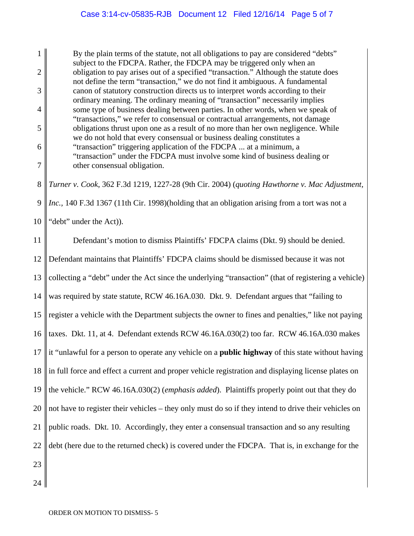1  $\mathcal{D}_{\mathcal{L}}$ 3 4 5 6 7 By the plain terms of the statute, not all obligations to pay are considered "debts" subject to the FDCPA. Rather, the FDCPA may be triggered only when an obligation to pay arises out of a specified "transaction." Although the statute does not define the term "transaction," we do not find it ambiguous. A fundamental canon of statutory construction directs us to interpret words according to their ordinary meaning. The ordinary meaning of "transaction" necessarily implies some type of business dealing between parties. In other words, when we speak of "transactions," we refer to consensual or contractual arrangements, not damage obligations thrust upon one as a result of no more than her own negligence. While we do not hold that every consensual or business dealing constitutes a "transaction" triggering application of the FDCPA ... at a minimum, a "transaction" under the FDCPA must involve some kind of business dealing or other consensual obligation.

8 9 *Turner v. Cook*, 362 F.3d 1219, 1227-28 (9th Cir. 2004) (*quoting Hawthorne v. Mac Adjustment, Inc.,* 140 F.3d 1367 (11th Cir. 1998)(holding that an obligation arising from a tort was not a

10 "debt" under the Act)).

11 12 13 14 15 16 17 18 19 20 21 22 23 Defendant's motion to dismiss Plaintiffs' FDCPA claims (Dkt. 9) should be denied. Defendant maintains that Plaintiffs' FDCPA claims should be dismissed because it was not collecting a "debt" under the Act since the underlying "transaction" (that of registering a vehicle) was required by state statute, RCW 46.16A.030. Dkt. 9. Defendant argues that "failing to register a vehicle with the Department subjects the owner to fines and penalties," like not paying taxes. Dkt. 11, at 4. Defendant extends RCW 46.16A.030(2) too far. RCW 46.16A.030 makes it "unlawful for a person to operate any vehicle on a **public highway** of this state without having in full force and effect a current and proper vehicle registration and displaying license plates on the vehicle." RCW 46.16A.030(2) (*emphasis added*). Plaintiffs properly point out that they do not have to register their vehicles – they only must do so if they intend to drive their vehicles on public roads. Dkt. 10. Accordingly, they enter a consensual transaction and so any resulting debt (here due to the returned check) is covered under the FDCPA. That is, in exchange for the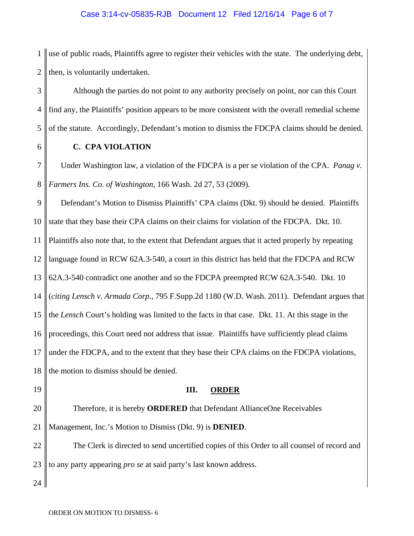### Case 3:14-cv-05835-RJB Document 12 Filed 12/16/14 Page 6 of 7

1  $\mathcal{D}_{\mathcal{L}}$ use of public roads, Plaintiffs agree to register their vehicles with the state. The underlying debt, then, is voluntarily undertaken.

3 4 5 Although the parties do not point to any authority precisely on point, nor can this Court find any, the Plaintiffs' position appears to be more consistent with the overall remedial scheme of the statute. Accordingly, Defendant's motion to dismiss the FDCPA claims should be denied.

6

# **C. CPA VIOLATION**

7 8 Under Washington law, a violation of the FDCPA is a per se violation of the CPA. *Panag v. Farmers Ins. Co. of Washington*, 166 Wash. 2d 27, 53 (2009).

9 10 11 12 13 14 15 16 17 18 Defendant's Motion to Dismiss Plaintiffs' CPA claims (Dkt. 9) should be denied. Plaintiffs state that they base their CPA claims on their claims for violation of the FDCPA. Dkt. 10. Plaintiffs also note that, to the extent that Defendant argues that it acted properly by repeating language found in RCW 62A.3-540, a court in this district has held that the FDCPA and RCW 62A.3-540 contradict one another and so the FDCPA preempted RCW 62A.3-540. Dkt. 10 (*citing Lensch v. Armada Corp*., 795 F.Supp.2d 1180 (W.D. Wash. 2011). Defendant argues that the *Lensch* Court's holding was limited to the facts in that case. Dkt. 11. At this stage in the proceedings, this Court need not address that issue. Plaintiffs have sufficiently plead claims under the FDCPA, and to the extent that they base their CPA claims on the FDCPA violations, the motion to dismiss should be denied.

19 20 21 22 **III. ORDER** Therefore, it is hereby **ORDERED** that Defendant AllianceOne Receivables Management, Inc.'s Motion to Dismiss (Dkt. 9) is **DENIED**. The Clerk is directed to send uncertified copies of this Order to all counsel of record and

23 to any party appearing *pro se* at said party's last known address.

24